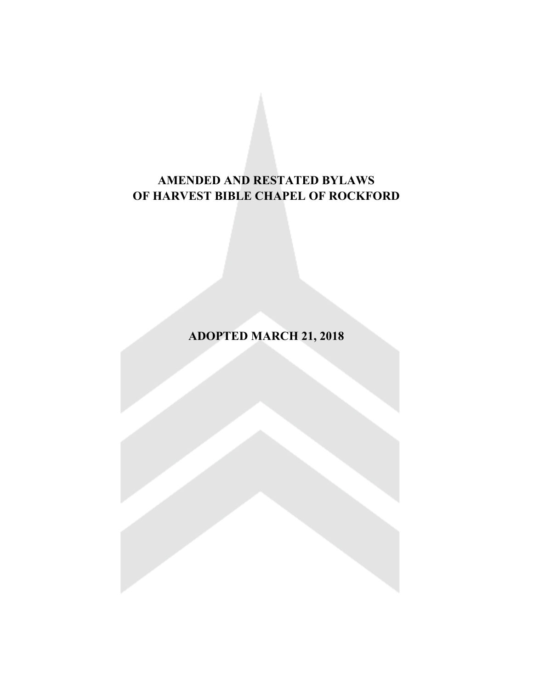# **AMENDED AND RESTATED BYLAWS OF HARVEST BIBLE CHAPEL OF ROCKFORD**

**ADOPTED MARCH 21, 2018**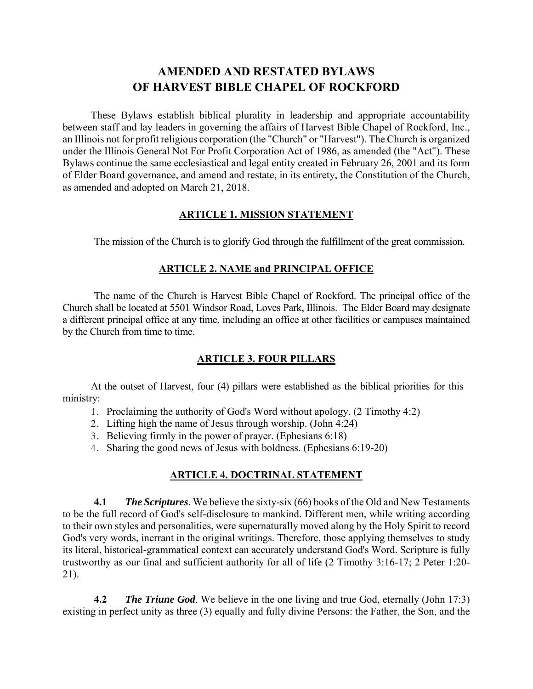## **AMENDED AND RESTATED BYLAWS OF HARVEST BIBLE CHAPEL OF ROCKFORD**

These Bylaws establish biblical plurality in leadership and appropriate accountability between staff and lay leaders in governing the affairs of Harvest Bible Chapel of Rockford, Inc., an Illinois not for profit religious corporation (the "Church" or "Harvest"). The Church is organized under the Illinois General Not For Profit Corporation Act of 1986, as amended (the "Act"). These Bylaws continue the same ecclesiastical and legal entity created in February 26, 2001 and its form of Elder Board governance, and amend and restate, in its entirety, the Constitution of the Church, as amended and adopted on March 21, 2018.

#### **ARTICLE 1. MISSION STATEMENT**

The mission of the Church is to glorify God through the fulfillment of the great commission.

#### **ARTICLE 2. NAME and PRINCIPAL OFFICE**

 The name of the Church is Harvest Bible Chapel of Rockford. The principal office of the Church shall be located at 5501 Windsor Road, Loves Park, Illinois. The Elder Board may designate a different principal office at any time, including an office at other facilities or campuses maintained by the Church from time to time.

#### **ARTICLE 3. FOUR PILLARS**

At the outset of Harvest, four (4) pillars were established as the biblical priorities for this ministry:

- 1. Proclaiming the authority of God's Word without apology. (2 Timothy 4:2)
- 2. Lifting high the name of Jesus through worship. (John 4:24)
- 3. Believing firmly in the power of prayer. (Ephesians 6:18)
- 4. Sharing the good news of Jesus with boldness. (Ephesians 6:19-20)

#### **ARTICLE 4. DOCTRINAL STATEMENT**

**4.1** *The Scriptures*. We believe the sixty-six (66) books of the Old and New Testaments to be the full record of God's self-disclosure to mankind. Different men, while writing according to their own styles and personalities, were supernaturally moved along by the Holy Spirit to record God's very words, inerrant in the original writings. Therefore, those applying themselves to study its literal, historical-grammatical context can accurately understand God's Word. Scripture is fully trustworthy as our final and sufficient authority for all of life (2 Timothy 3:16-17; 2 Peter 1:20- 21).

**4.2** *The Triune God*. We believe in the one living and true God, eternally (John 17:3) existing in perfect unity as three (3) equally and fully divine Persons: the Father, the Son, and the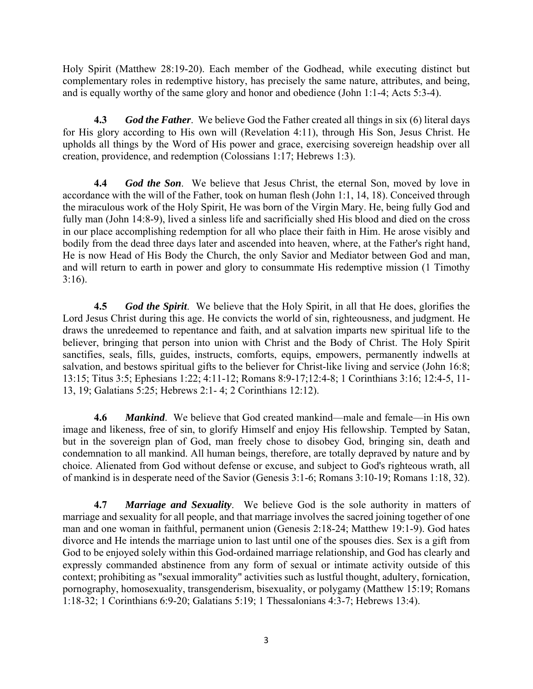Holy Spirit (Matthew 28:19-20). Each member of the Godhead, while executing distinct but complementary roles in redemptive history, has precisely the same nature, attributes, and being, and is equally worthy of the same glory and honor and obedience (John 1:1-4; Acts 5:3-4).

**4.3** *God the Father*. We believe God the Father created all things in six (6) literal days for His glory according to His own will (Revelation 4:11), through His Son, Jesus Christ. He upholds all things by the Word of His power and grace, exercising sovereign headship over all creation, providence, and redemption (Colossians 1:17; Hebrews 1:3).

**4.4** *God the Son*. We believe that Jesus Christ, the eternal Son, moved by love in accordance with the will of the Father, took on human flesh (John 1:1, 14, 18). Conceived through the miraculous work of the Holy Spirit, He was born of the Virgin Mary. He, being fully God and fully man (John 14:8-9), lived a sinless life and sacrificially shed His blood and died on the cross in our place accomplishing redemption for all who place their faith in Him. He arose visibly and bodily from the dead three days later and ascended into heaven, where, at the Father's right hand, He is now Head of His Body the Church, the only Savior and Mediator between God and man, and will return to earth in power and glory to consummate His redemptive mission (1 Timothy 3:16).

**4.5** *God the Spirit*. We believe that the Holy Spirit, in all that He does, glorifies the Lord Jesus Christ during this age. He convicts the world of sin, righteousness, and judgment. He draws the unredeemed to repentance and faith, and at salvation imparts new spiritual life to the believer, bringing that person into union with Christ and the Body of Christ. The Holy Spirit sanctifies, seals, fills, guides, instructs, comforts, equips, empowers, permanently indwells at salvation, and bestows spiritual gifts to the believer for Christ-like living and service (John 16:8; 13:15; Titus 3:5; Ephesians 1:22; 4:11-12; Romans 8:9-17;12:4-8; 1 Corinthians 3:16; 12:4-5, 11- 13, 19; Galatians 5:25; Hebrews 2:1- 4; 2 Corinthians 12:12).

**4.6** *Mankind*. We believe that God created mankind—male and female—in His own image and likeness, free of sin, to glorify Himself and enjoy His fellowship. Tempted by Satan, but in the sovereign plan of God, man freely chose to disobey God, bringing sin, death and condemnation to all mankind. All human beings, therefore, are totally depraved by nature and by choice. Alienated from God without defense or excuse, and subject to God's righteous wrath, all of mankind is in desperate need of the Savior (Genesis 3:1-6; Romans 3:10-19; Romans 1:18, 32).

**4.7** *Marriage and Sexuality*. We believe God is the sole authority in matters of marriage and sexuality for all people, and that marriage involves the sacred joining together of one man and one woman in faithful, permanent union (Genesis 2:18-24; Matthew 19:1-9). God hates divorce and He intends the marriage union to last until one of the spouses dies. Sex is a gift from God to be enjoyed solely within this God-ordained marriage relationship, and God has clearly and expressly commanded abstinence from any form of sexual or intimate activity outside of this context; prohibiting as "sexual immorality" activities such as lustful thought, adultery, fornication, pornography, homosexuality, transgenderism, bisexuality, or polygamy (Matthew 15:19; Romans 1:18-32; 1 Corinthians 6:9-20; Galatians 5:19; 1 Thessalonians 4:3-7; Hebrews 13:4).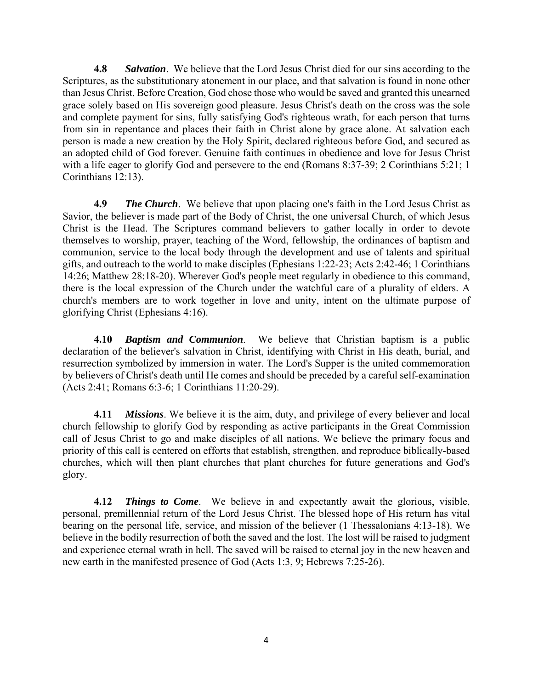**4.8** *Salvation*. We believe that the Lord Jesus Christ died for our sins according to the Scriptures, as the substitutionary atonement in our place, and that salvation is found in none other than Jesus Christ. Before Creation, God chose those who would be saved and granted this unearned grace solely based on His sovereign good pleasure. Jesus Christ's death on the cross was the sole and complete payment for sins, fully satisfying God's righteous wrath, for each person that turns from sin in repentance and places their faith in Christ alone by grace alone. At salvation each person is made a new creation by the Holy Spirit, declared righteous before God, and secured as an adopted child of God forever. Genuine faith continues in obedience and love for Jesus Christ with a life eager to glorify God and persevere to the end (Romans 8:37-39; 2 Corinthians 5:21; 1 Corinthians 12:13).

**4.9** *The Church*. We believe that upon placing one's faith in the Lord Jesus Christ as Savior, the believer is made part of the Body of Christ, the one universal Church, of which Jesus Christ is the Head. The Scriptures command believers to gather locally in order to devote themselves to worship, prayer, teaching of the Word, fellowship, the ordinances of baptism and communion, service to the local body through the development and use of talents and spiritual gifts, and outreach to the world to make disciples (Ephesians 1:22-23; Acts 2:42-46; 1 Corinthians 14:26; Matthew 28:18-20). Wherever God's people meet regularly in obedience to this command, there is the local expression of the Church under the watchful care of a plurality of elders. A church's members are to work together in love and unity, intent on the ultimate purpose of glorifying Christ (Ephesians 4:16).

**4.10** *Baptism and Communion*. We believe that Christian baptism is a public declaration of the believer's salvation in Christ, identifying with Christ in His death, burial, and resurrection symbolized by immersion in water. The Lord's Supper is the united commemoration by believers of Christ's death until He comes and should be preceded by a careful self-examination (Acts 2:41; Romans 6:3-6; 1 Corinthians 11:20-29).

**4.11** *Missions*. We believe it is the aim, duty, and privilege of every believer and local church fellowship to glorify God by responding as active participants in the Great Commission call of Jesus Christ to go and make disciples of all nations. We believe the primary focus and priority of this call is centered on efforts that establish, strengthen, and reproduce biblically-based churches, which will then plant churches that plant churches for future generations and God's glory.

**4.12** *Things to Come*. We believe in and expectantly await the glorious, visible, personal, premillennial return of the Lord Jesus Christ. The blessed hope of His return has vital bearing on the personal life, service, and mission of the believer (1 Thessalonians 4:13-18). We believe in the bodily resurrection of both the saved and the lost. The lost will be raised to judgment and experience eternal wrath in hell. The saved will be raised to eternal joy in the new heaven and new earth in the manifested presence of God (Acts 1:3, 9; Hebrews 7:25-26).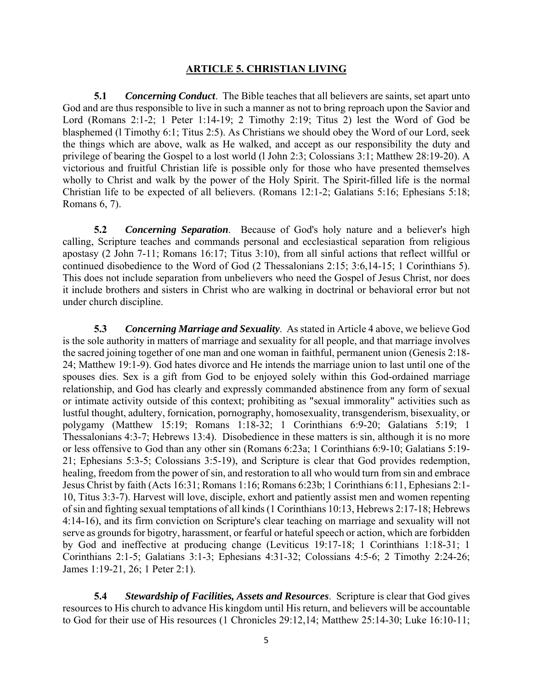#### **ARTICLE 5. CHRISTIAN LIVING**

**5.1** *Concerning Conduct*. The Bible teaches that all believers are saints, set apart unto God and are thus responsible to live in such a manner as not to bring reproach upon the Savior and Lord (Romans 2:1-2; 1 Peter 1:14-19; 2 Timothy 2:19; Titus 2) lest the Word of God be blasphemed (l Timothy 6:1; Titus 2:5). As Christians we should obey the Word of our Lord, seek the things which are above, walk as He walked, and accept as our responsibility the duty and privilege of bearing the Gospel to a lost world (l John 2:3; Colossians 3:1; Matthew 28:19-20). A victorious and fruitful Christian life is possible only for those who have presented themselves wholly to Christ and walk by the power of the Holy Spirit. The Spirit-filled life is the normal Christian life to be expected of all believers. (Romans 12:1-2; Galatians 5:16; Ephesians 5:18; Romans 6, 7).

**5.2** *Concerning Separation*. Because of God's holy nature and a believer's high calling, Scripture teaches and commands personal and ecclesiastical separation from religious apostasy (2 John 7-11; Romans 16:17; Titus 3:10), from all sinful actions that reflect willful or continued disobedience to the Word of God (2 Thessalonians 2:15; 3:6,14-15; 1 Corinthians 5). This does not include separation from unbelievers who need the Gospel of Jesus Christ, nor does it include brothers and sisters in Christ who are walking in doctrinal or behavioral error but not under church discipline.

**5.3** *Concerning Marriage and Sexuality*. As stated in Article 4 above, we believe God is the sole authority in matters of marriage and sexuality for all people, and that marriage involves the sacred joining together of one man and one woman in faithful, permanent union (Genesis 2:18- 24; Matthew 19:1-9). God hates divorce and He intends the marriage union to last until one of the spouses dies. Sex is a gift from God to be enjoyed solely within this God-ordained marriage relationship, and God has clearly and expressly commanded abstinence from any form of sexual or intimate activity outside of this context; prohibiting as "sexual immorality" activities such as lustful thought, adultery, fornication, pornography, homosexuality, transgenderism, bisexuality, or polygamy (Matthew 15:19; Romans 1:18-32; 1 Corinthians 6:9-20; Galatians 5:19; 1 Thessalonians 4:3-7; Hebrews 13:4). Disobedience in these matters is sin, although it is no more or less offensive to God than any other sin (Romans 6:23a; 1 Corinthians 6:9-10; Galatians 5:19- 21; Ephesians 5:3-5; Colossians 3:5-19), and Scripture is clear that God provides redemption, healing, freedom from the power of sin, and restoration to all who would turn from sin and embrace Jesus Christ by faith (Acts 16:31; Romans 1:16; Romans 6:23b; 1 Corinthians 6:11, Ephesians 2:1- 10, Titus 3:3-7). Harvest will love, disciple, exhort and patiently assist men and women repenting of sin and fighting sexual temptations of all kinds (1 Corinthians 10:13, Hebrews 2:17-18; Hebrews 4:14-16), and its firm conviction on Scripture's clear teaching on marriage and sexuality will not serve as grounds for bigotry, harassment, or fearful or hateful speech or action, which are forbidden by God and ineffective at producing change (Leviticus 19:17-18; 1 Corinthians 1:18-31; 1 Corinthians 2:1-5; Galatians 3:1-3; Ephesians 4:31-32; Colossians 4:5-6; 2 Timothy 2:24-26; James 1:19-21, 26; 1 Peter 2:1).

**5.4** *Stewardship of Facilities, Assets and Resources*. Scripture is clear that God gives resources to His church to advance His kingdom until His return, and believers will be accountable to God for their use of His resources (1 Chronicles 29:12,14; Matthew 25:14-30; Luke 16:10-11;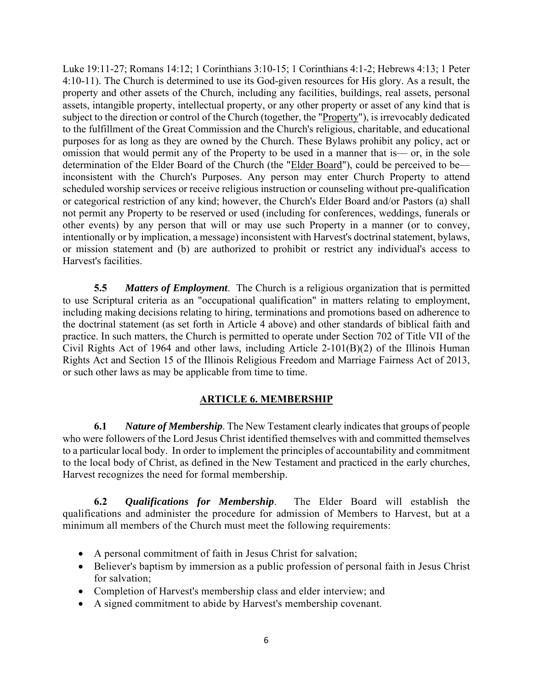Luke 19:11-27; Romans 14:12; 1 Corinthians 3:10-15; 1 Corinthians 4:1-2; Hebrews 4:13; 1 Peter 4:10-11). The Church is determined to use its God-given resources for His glory. As a result, the property and other assets of the Church, including any facilities, buildings, real assets, personal assets, intangible property, intellectual property, or any other property or asset of any kind that is subject to the direction or control of the Church (together, the "Property"), is irrevocably dedicated to the fulfillment of the Great Commission and the Church's religious, charitable, and educational purposes for as long as they are owned by the Church. These Bylaws prohibit any policy, act or omission that would permit any of the Property to be used in a manner that is— or, in the sole determination of the Elder Board of the Church (the "Elder Board"), could be perceived to be inconsistent with the Church's Purposes. Any person may enter Church Property to attend scheduled worship services or receive religious instruction or counseling without pre-qualification or categorical restriction of any kind; however, the Church's Elder Board and/or Pastors (a) shall not permit any Property to be reserved or used (including for conferences, weddings, funerals or other events) by any person that will or may use such Property in a manner (or to convey, intentionally or by implication, a message) inconsistent with Harvest's doctrinal statement, bylaws, or mission statement and (b) are authorized to prohibit or restrict any individual's access to Harvest's facilities.

**5.5** *Matters of Employment*. The Church is a religious organization that is permitted to use Scriptural criteria as an "occupational qualification" in matters relating to employment, including making decisions relating to hiring, terminations and promotions based on adherence to the doctrinal statement (as set forth in Article 4 above) and other standards of biblical faith and practice. In such matters, the Church is permitted to operate under Section 702 of Title VII of the Civil Rights Act of 1964 and other laws, including Article 2-101(B)(2) of the Illinois Human Rights Act and Section 15 of the Illinois Religious Freedom and Marriage Fairness Act of 2013, or such other laws as may be applicable from time to time.

#### **ARTICLE 6. MEMBERSHIP**

**6.1** *Nature of Membership*. The New Testament clearly indicates that groups of people who were followers of the Lord Jesus Christ identified themselves with and committed themselves to a particular local body. In order to implement the principles of accountability and commitment to the local body of Christ, as defined in the New Testament and practiced in the early churches, Harvest recognizes the need for formal membership.

**6.2** *Qualifications for Membership*. The Elder Board will establish the qualifications and administer the procedure for admission of Members to Harvest, but at a minimum all members of the Church must meet the following requirements:

- A personal commitment of faith in Jesus Christ for salvation;
- Believer's baptism by immersion as a public profession of personal faith in Jesus Christ for salvation;
- Completion of Harvest's membership class and elder interview; and
- A signed commitment to abide by Harvest's membership covenant.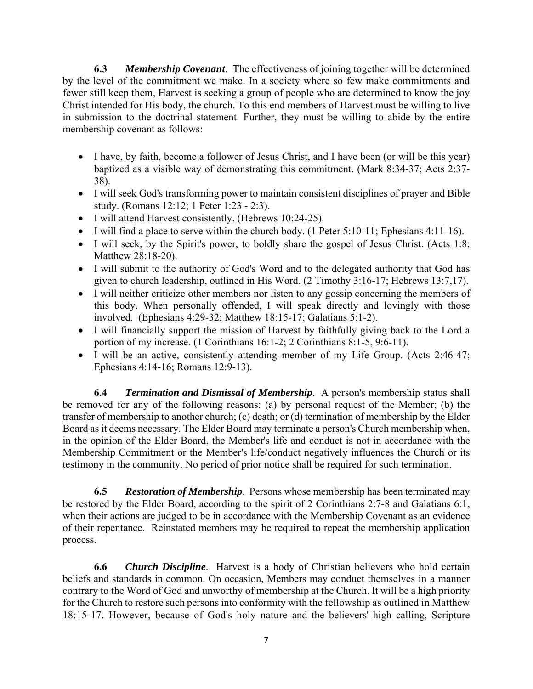**6.3** *Membership Covenant*. The effectiveness of joining together will be determined by the level of the commitment we make. In a society where so few make commitments and fewer still keep them, Harvest is seeking a group of people who are determined to know the joy Christ intended for His body, the church. To this end members of Harvest must be willing to live in submission to the doctrinal statement. Further, they must be willing to abide by the entire membership covenant as follows:

- I have, by faith, become a follower of Jesus Christ, and I have been (or will be this year) baptized as a visible way of demonstrating this commitment. (Mark 8:34-37; Acts 2:37- 38).
- I will seek God's transforming power to maintain consistent disciplines of prayer and Bible study. (Romans 12:12; 1 Peter 1:23 - 2:3).
- I will attend Harvest consistently. (Hebrews 10:24-25).
- $\bullet$  I will find a place to serve within the church body. (1 Peter 5:10-11; Ephesians 4:11-16).
- I will seek, by the Spirit's power, to boldly share the gospel of Jesus Christ. (Acts 1:8; Matthew 28:18-20).
- I will submit to the authority of God's Word and to the delegated authority that God has given to church leadership, outlined in His Word. (2 Timothy 3:16-17; Hebrews 13:7,17).
- I will neither criticize other members nor listen to any gossip concerning the members of this body. When personally offended, I will speak directly and lovingly with those involved. (Ephesians 4:29-32; Matthew 18:15-17; Galatians 5:1-2).
- I will financially support the mission of Harvest by faithfully giving back to the Lord a portion of my increase. (1 Corinthians 16:1-2; 2 Corinthians 8:1-5, 9:6-11).
- I will be an active, consistently attending member of my Life Group. (Acts 2:46-47; Ephesians 4:14-16; Romans 12:9-13).

**6.4** *Termination and Dismissal of Membership*. A person's membership status shall be removed for any of the following reasons: (a) by personal request of the Member; (b) the transfer of membership to another church; (c) death; or (d) termination of membership by the Elder Board as it deems necessary. The Elder Board may terminate a person's Church membership when, in the opinion of the Elder Board, the Member's life and conduct is not in accordance with the Membership Commitment or the Member's life/conduct negatively influences the Church or its testimony in the community. No period of prior notice shall be required for such termination.

**6.5** *Restoration of Membership*. Persons whose membership has been terminated may be restored by the Elder Board, according to the spirit of 2 Corinthians 2:7-8 and Galatians 6:1, when their actions are judged to be in accordance with the Membership Covenant as an evidence of their repentance. Reinstated members may be required to repeat the membership application process.

**6.6** *Church Discipline*.Harvest is a body of Christian believers who hold certain beliefs and standards in common. On occasion, Members may conduct themselves in a manner contrary to the Word of God and unworthy of membership at the Church. It will be a high priority for the Church to restore such persons into conformity with the fellowship as outlined in Matthew 18:15-17. However, because of God's holy nature and the believers' high calling, Scripture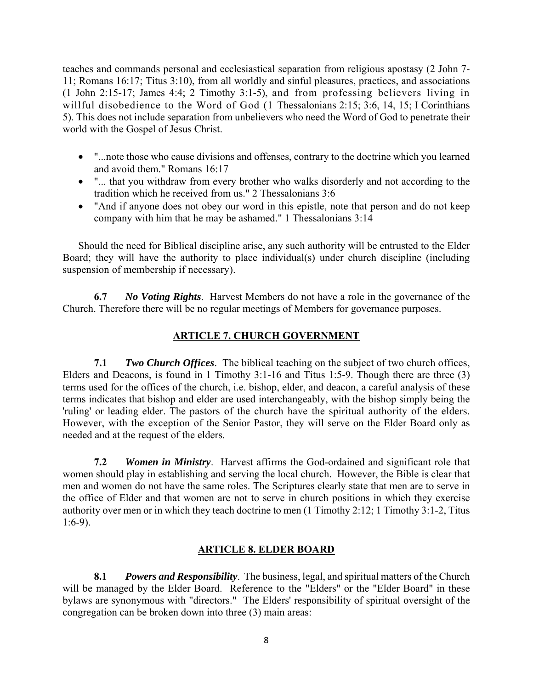teaches and commands personal and ecclesiastical separation from religious apostasy (2 John 7- 11; Romans 16:17; Titus 3:10), from all worldly and sinful pleasures, practices, and associations (1 John 2:15-17; James 4:4; 2 Timothy 3:1-5), and from professing believers living in willful disobedience to the Word of God (1 Thessalonians 2:15; 3:6, 14, 15; I Corinthians 5). This does not include separation from unbelievers who need the Word of God to penetrate their world with the Gospel of Jesus Christ.

- "...note those who cause divisions and offenses, contrary to the doctrine which you learned and avoid them." Romans 16:17
- "... that you withdraw from every brother who walks disorderly and not according to the tradition which he received from us." 2 Thessalonians 3:6
- "And if anyone does not obey our word in this epistle, note that person and do not keep company with him that he may be ashamed." 1 Thessalonians 3:14

Should the need for Biblical discipline arise, any such authority will be entrusted to the Elder Board; they will have the authority to place individual(s) under church discipline (including suspension of membership if necessary).

**6.7** *No Voting Rights*. Harvest Members do not have a role in the governance of the Church. Therefore there will be no regular meetings of Members for governance purposes.

## **ARTICLE 7. CHURCH GOVERNMENT**

**7.1** *Two Church Offices*. The biblical teaching on the subject of two church offices, Elders and Deacons, is found in 1 Timothy 3:1-16 and Titus 1:5-9. Though there are three (3) terms used for the offices of the church, i.e. bishop, elder, and deacon, a careful analysis of these terms indicates that bishop and elder are used interchangeably, with the bishop simply being the 'ruling' or leading elder. The pastors of the church have the spiritual authority of the elders. However, with the exception of the Senior Pastor, they will serve on the Elder Board only as needed and at the request of the elders.

**7.2** *Women in Ministry*. Harvest affirms the God-ordained and significant role that women should play in establishing and serving the local church. However, the Bible is clear that men and women do not have the same roles. The Scriptures clearly state that men are to serve in the office of Elder and that women are not to serve in church positions in which they exercise authority over men or in which they teach doctrine to men (1 Timothy 2:12; 1 Timothy 3:1-2, Titus 1:6-9).

## **ARTICLE 8. ELDER BOARD**

**8.1** *Powers and Responsibility*. The business, legal, and spiritual matters of the Church will be managed by the Elder Board. Reference to the "Elders" or the "Elder Board" in these bylaws are synonymous with "directors." The Elders' responsibility of spiritual oversight of the congregation can be broken down into three (3) main areas: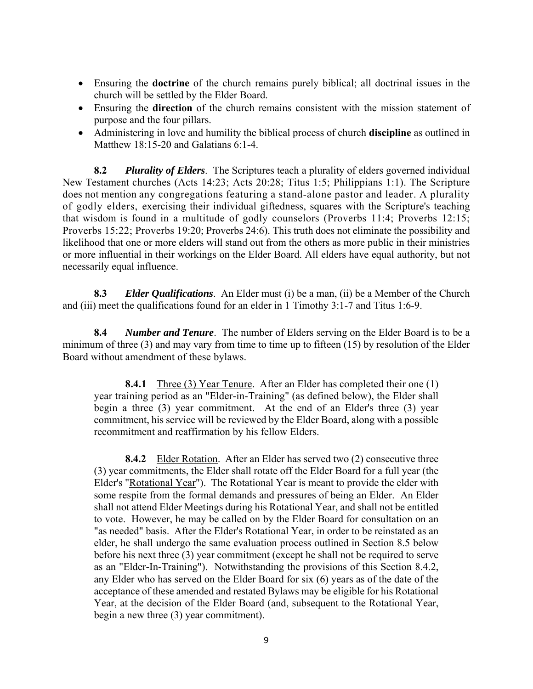- Ensuring the **doctrine** of the church remains purely biblical; all doctrinal issues in the church will be settled by the Elder Board.
- Ensuring the **direction** of the church remains consistent with the mission statement of purpose and the four pillars.
- Administering in love and humility the biblical process of church **discipline** as outlined in Matthew 18:15-20 and Galatians 6:1-4.

**8.2** *Plurality of Elders*. The Scriptures teach a plurality of elders governed individual New Testament churches (Acts 14:23; Acts 20:28; Titus 1:5; Philippians 1:1). The Scripture does not mention any congregations featuring a stand-alone pastor and leader. A plurality of godly elders, exercising their individual giftedness, squares with the Scripture's teaching that wisdom is found in a multitude of godly counselors (Proverbs 11:4; Proverbs 12:15; Proverbs 15:22; Proverbs 19:20; Proverbs 24:6). This truth does not eliminate the possibility and likelihood that one or more elders will stand out from the others as more public in their ministries or more influential in their workings on the Elder Board. All elders have equal authority, but not necessarily equal influence.

**8.3** *Elder Qualifications*. An Elder must (i) be a man, (ii) be a Member of the Church and (iii) meet the qualifications found for an elder in 1 Timothy 3:1-7 and Titus 1:6-9.

**8.4** *Number and Tenure*. The number of Elders serving on the Elder Board is to be a minimum of three (3) and may vary from time to time up to fifteen (15) by resolution of the Elder Board without amendment of these bylaws.

**8.4.1** Three (3) Year Tenure. After an Elder has completed their one (1) year training period as an "Elder-in-Training" (as defined below), the Elder shall begin a three (3) year commitment. At the end of an Elder's three (3) year commitment, his service will be reviewed by the Elder Board, along with a possible recommitment and reaffirmation by his fellow Elders.

**8.4.2** Elder Rotation. After an Elder has served two (2) consecutive three (3) year commitments, the Elder shall rotate off the Elder Board for a full year (the Elder's "Rotational Year"). The Rotational Year is meant to provide the elder with some respite from the formal demands and pressures of being an Elder. An Elder shall not attend Elder Meetings during his Rotational Year, and shall not be entitled to vote. However, he may be called on by the Elder Board for consultation on an "as needed" basis. After the Elder's Rotational Year, in order to be reinstated as an elder, he shall undergo the same evaluation process outlined in Section 8.5 below before his next three (3) year commitment (except he shall not be required to serve as an "Elder-In-Training"). Notwithstanding the provisions of this Section 8.4.2, any Elder who has served on the Elder Board for six (6) years as of the date of the acceptance of these amended and restated Bylaws may be eligible for his Rotational Year, at the decision of the Elder Board (and, subsequent to the Rotational Year, begin a new three (3) year commitment).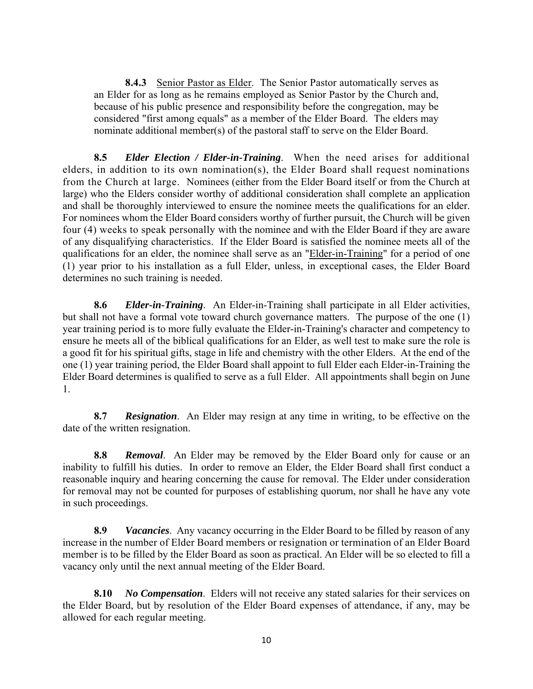**8.4.3** Senior Pastor as Elder. The Senior Pastor automatically serves as an Elder for as long as he remains employed as Senior Pastor by the Church and, because of his public presence and responsibility before the congregation, may be considered "first among equals" as a member of the Elder Board. The elders may nominate additional member(s) of the pastoral staff to serve on the Elder Board.

**8.5** *Elder Election / Elder-in-Training*. When the need arises for additional elders, in addition to its own nomination(s), the Elder Board shall request nominations from the Church at large. Nominees (either from the Elder Board itself or from the Church at large) who the Elders consider worthy of additional consideration shall complete an application and shall be thoroughly interviewed to ensure the nominee meets the qualifications for an elder. For nominees whom the Elder Board considers worthy of further pursuit, the Church will be given four (4) weeks to speak personally with the nominee and with the Elder Board if they are aware of any disqualifying characteristics. If the Elder Board is satisfied the nominee meets all of the qualifications for an elder, the nominee shall serve as an "Elder-in-Training" for a period of one (1) year prior to his installation as a full Elder, unless, in exceptional cases, the Elder Board determines no such training is needed.

**8.6** *Elder-in-Training*. An Elder-in-Training shall participate in all Elder activities, but shall not have a formal vote toward church governance matters. The purpose of the one (1) year training period is to more fully evaluate the Elder-in-Training's character and competency to ensure he meets all of the biblical qualifications for an Elder, as well test to make sure the role is a good fit for his spiritual gifts, stage in life and chemistry with the other Elders. At the end of the one (1) year training period, the Elder Board shall appoint to full Elder each Elder-in-Training the Elder Board determines is qualified to serve as a full Elder. All appointments shall begin on June 1.

**8.7** *Resignation*. An Elder may resign at any time in writing, to be effective on the date of the written resignation.

**8.8** *Removal*. An Elder may be removed by the Elder Board only for cause or an inability to fulfill his duties. In order to remove an Elder, the Elder Board shall first conduct a reasonable inquiry and hearing concerning the cause for removal. The Elder under consideration for removal may not be counted for purposes of establishing quorum, nor shall he have any vote in such proceedings.

**8.9** *Vacancies*. Any vacancy occurring in the Elder Board to be filled by reason of any increase in the number of Elder Board members or resignation or termination of an Elder Board member is to be filled by the Elder Board as soon as practical. An Elder will be so elected to fill a vacancy only until the next annual meeting of the Elder Board.

**8.10** *No Compensation*. Elders will not receive any stated salaries for their services on the Elder Board, but by resolution of the Elder Board expenses of attendance, if any, may be allowed for each regular meeting.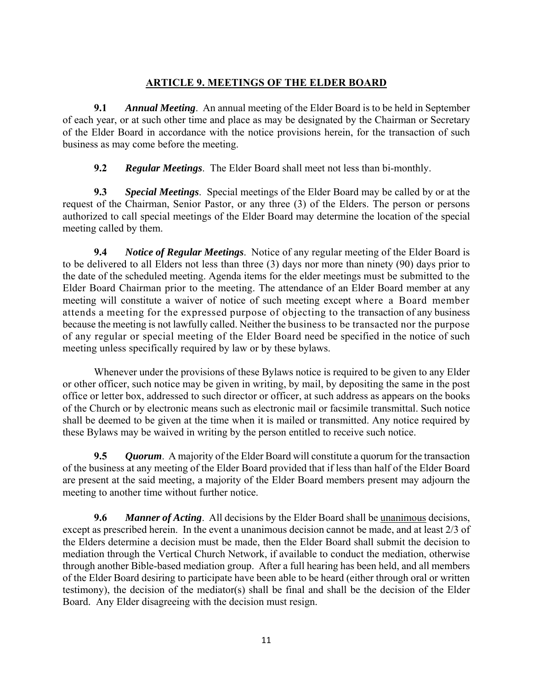## **ARTICLE 9. MEETINGS OF THE ELDER BOARD**

**9.1** *Annual Meeting*.An annual meeting of the Elder Board is to be held in September of each year, or at such other time and place as may be designated by the Chairman or Secretary of the Elder Board in accordance with the notice provisions herein, for the transaction of such business as may come before the meeting.

**9.2** *Regular Meetings*. The Elder Board shall meet not less than bi-monthly.

**9.3** *Special Meetings*. Special meetings of the Elder Board may be called by or at the request of the Chairman, Senior Pastor, or any three (3) of the Elders. The person or persons authorized to call special meetings of the Elder Board may determine the location of the special meeting called by them.

**9.4** *Notice of Regular Meetings*. Notice of any regular meeting of the Elder Board is to be delivered to all Elders not less than three (3) days nor more than ninety (90) days prior to the date of the scheduled meeting. Agenda items for the elder meetings must be submitted to the Elder Board Chairman prior to the meeting. The attendance of an Elder Board member at any meeting will constitute a waiver of notice of such meeting except where a Board member attends a meeting for the expressed purpose of objecting to the transaction of any business because the meeting is not lawfully called. Neither the business to be transacted nor the purpose of any regular or special meeting of the Elder Board need be specified in the notice of such meeting unless specifically required by law or by these bylaws.

Whenever under the provisions of these Bylaws notice is required to be given to any Elder or other officer, such notice may be given in writing, by mail, by depositing the same in the post office or letter box, addressed to such director or officer, at such address as appears on the books of the Church or by electronic means such as electronic mail or facsimile transmittal. Such notice shall be deemed to be given at the time when it is mailed or transmitted. Any notice required by these Bylaws may be waived in writing by the person entitled to receive such notice.

**9.5** *Quorum*. A majority of the Elder Board will constitute a quorum for the transaction of the business at any meeting of the Elder Board provided that if less than half of the Elder Board are present at the said meeting, a majority of the Elder Board members present may adjourn the meeting to another time without further notice.

**9.6** *Manner of Acting*. All decisions by the Elder Board shall be unanimous decisions, except as prescribed herein. In the event a unanimous decision cannot be made, and at least 2/3 of the Elders determine a decision must be made, then the Elder Board shall submit the decision to mediation through the Vertical Church Network, if available to conduct the mediation, otherwise through another Bible-based mediation group. After a full hearing has been held, and all members of the Elder Board desiring to participate have been able to be heard (either through oral or written testimony), the decision of the mediator(s) shall be final and shall be the decision of the Elder Board. Any Elder disagreeing with the decision must resign.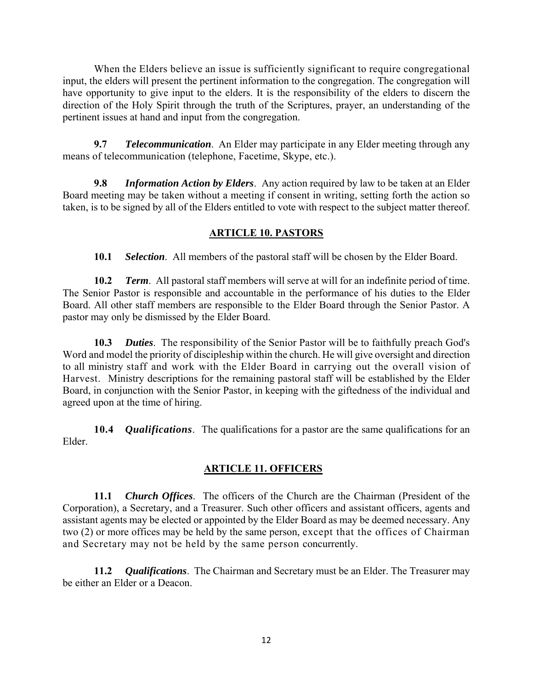When the Elders believe an issue is sufficiently significant to require congregational input, the elders will present the pertinent information to the congregation. The congregation will have opportunity to give input to the elders. It is the responsibility of the elders to discern the direction of the Holy Spirit through the truth of the Scriptures, prayer, an understanding of the pertinent issues at hand and input from the congregation.

**9.7** *Telecommunication*. An Elder may participate in any Elder meeting through any means of telecommunication (telephone, Facetime, Skype, etc.).

**9.8** *Information Action by Elders*. Any action required by law to be taken at an Elder Board meeting may be taken without a meeting if consent in writing, setting forth the action so taken, is to be signed by all of the Elders entitled to vote with respect to the subject matter thereof.

## **ARTICLE 10. PASTORS**

**10.1** *Selection*. All members of the pastoral staff will be chosen by the Elder Board.

**10.2** *Term*.All pastoral staff members will serve at will for an indefinite period of time. The Senior Pastor is responsible and accountable in the performance of his duties to the Elder Board. All other staff members are responsible to the Elder Board through the Senior Pastor. A pastor may only be dismissed by the Elder Board.

**10.3** *Duties*.The responsibility of the Senior Pastor will be to faithfully preach God's Word and model the priority of discipleship within the church. He will give oversight and direction to all ministry staff and work with the Elder Board in carrying out the overall vision of Harvest. Ministry descriptions for the remaining pastoral staff will be established by the Elder Board, in conjunction with the Senior Pastor, in keeping with the giftedness of the individual and agreed upon at the time of hiring.

**10.4** *Qualifications*. The qualifications for a pastor are the same qualifications for an Elder.

## **ARTICLE 11. OFFICERS**

**11.1** *Church Offices*.The officers of the Church are the Chairman (President of the Corporation), a Secretary, and a Treasurer. Such other officers and assistant officers, agents and assistant agents may be elected or appointed by the Elder Board as may be deemed necessary. Any two (2) or more offices may be held by the same person, except that the offices of Chairman and Secretary may not be held by the same person concurrently.

**11.2** *Qualifications*.The Chairman and Secretary must be an Elder. The Treasurer may be either an Elder or a Deacon.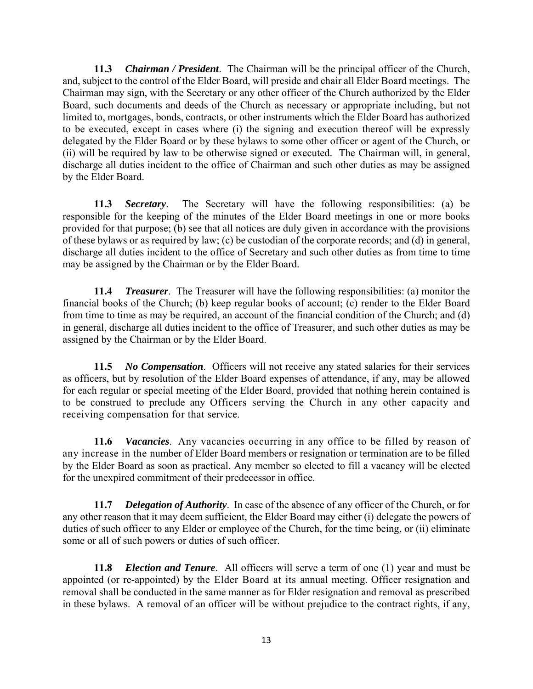**11.3** *Chairman / President*. The Chairman will be the principal officer of the Church, and, subject to the control of the Elder Board, will preside and chair all Elder Board meetings. The Chairman may sign, with the Secretary or any other officer of the Church authorized by the Elder Board, such documents and deeds of the Church as necessary or appropriate including, but not limited to, mortgages, bonds, contracts, or other instruments which the Elder Board has authorized to be executed, except in cases where (i) the signing and execution thereof will be expressly delegated by the Elder Board or by these bylaws to some other officer or agent of the Church, or (ii) will be required by law to be otherwise signed or executed. The Chairman will, in general, discharge all duties incident to the office of Chairman and such other duties as may be assigned by the Elder Board.

**11.3** *Secretary*. The Secretary will have the following responsibilities: (a) be responsible for the keeping of the minutes of the Elder Board meetings in one or more books provided for that purpose; (b) see that all notices are duly given in accordance with the provisions of these bylaws or as required by law; (c) be custodian of the corporate records; and (d) in general, discharge all duties incident to the office of Secretary and such other duties as from time to time may be assigned by the Chairman or by the Elder Board.

**11.4** *Treasurer*. The Treasurer will have the following responsibilities: (a) monitor the financial books of the Church; (b) keep regular books of account; (c) render to the Elder Board from time to time as may be required, an account of the financial condition of the Church; and (d) in general, discharge all duties incident to the office of Treasurer, and such other duties as may be assigned by the Chairman or by the Elder Board.

**11.5** *No Compensation*. Officers will not receive any stated salaries for their services as officers, but by resolution of the Elder Board expenses of attendance, if any, may be allowed for each regular or special meeting of the Elder Board, provided that nothing herein contained is to be construed to preclude any Officers serving the Church in any other capacity and receiving compensation for that service.

**11.6** *Vacancies*. Any vacancies occurring in any office to be filled by reason of any increase in the number of Elder Board members or resignation or termination are to be filled by the Elder Board as soon as practical. Any member so elected to fill a vacancy will be elected for the unexpired commitment of their predecessor in office.

**11.7** *Delegation of Authority*. In case of the absence of any officer of the Church, or for any other reason that it may deem sufficient, the Elder Board may either (i) delegate the powers of duties of such officer to any Elder or employee of the Church, for the time being, or (ii) eliminate some or all of such powers or duties of such officer.

**11.8** *Election and Tenure*. All officers will serve a term of one (1) year and must be appointed (or re-appointed) by the Elder Board at its annual meeting. Officer resignation and removal shall be conducted in the same manner as for Elder resignation and removal as prescribed in these bylaws. A removal of an officer will be without prejudice to the contract rights, if any,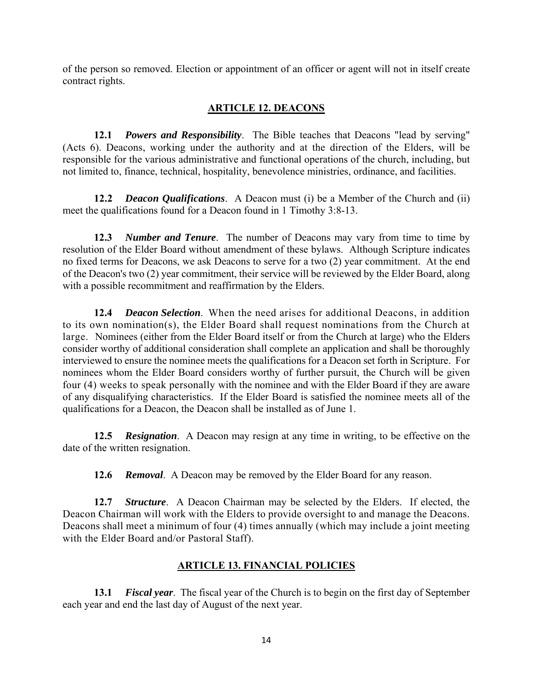of the person so removed. Election or appointment of an officer or agent will not in itself create contract rights.

## **ARTICLE 12. DEACONS**

**12.1** *Powers and Responsibility*. The Bible teaches that Deacons "lead by serving" (Acts 6). Deacons, working under the authority and at the direction of the Elders, will be responsible for the various administrative and functional operations of the church, including, but not limited to, finance, technical, hospitality, benevolence ministries, ordinance, and facilities.

**12.2** *Deacon Qualifications*. A Deacon must (i) be a Member of the Church and (ii) meet the qualifications found for a Deacon found in 1 Timothy 3:8-13.

**12.3** *Number and Tenure*. The number of Deacons may vary from time to time by resolution of the Elder Board without amendment of these bylaws. Although Scripture indicates no fixed terms for Deacons, we ask Deacons to serve for a two (2) year commitment. At the end of the Deacon's two (2) year commitment, their service will be reviewed by the Elder Board, along with a possible recommitment and reaffirmation by the Elders.

 **12.4** *Deacon Selection*.When the need arises for additional Deacons, in addition to its own nomination(s), the Elder Board shall request nominations from the Church at large. Nominees (either from the Elder Board itself or from the Church at large) who the Elders consider worthy of additional consideration shall complete an application and shall be thoroughly interviewed to ensure the nominee meets the qualifications for a Deacon set forth in Scripture. For nominees whom the Elder Board considers worthy of further pursuit, the Church will be given four (4) weeks to speak personally with the nominee and with the Elder Board if they are aware of any disqualifying characteristics. If the Elder Board is satisfied the nominee meets all of the qualifications for a Deacon, the Deacon shall be installed as of June 1.

**12.5** *Resignation*. A Deacon may resign at any time in writing, to be effective on the date of the written resignation.

**12.6** *Removal*. A Deacon may be removed by the Elder Board for any reason.

**12.7** *Structure*. A Deacon Chairman may be selected by the Elders. If elected, the Deacon Chairman will work with the Elders to provide oversight to and manage the Deacons. Deacons shall meet a minimum of four (4) times annually (which may include a joint meeting with the Elder Board and/or Pastoral Staff).

## **ARTICLE 13. FINANCIAL POLICIES**

**13.1** *Fiscal year*. The fiscal year of the Church is to begin on the first day of September each year and end the last day of August of the next year.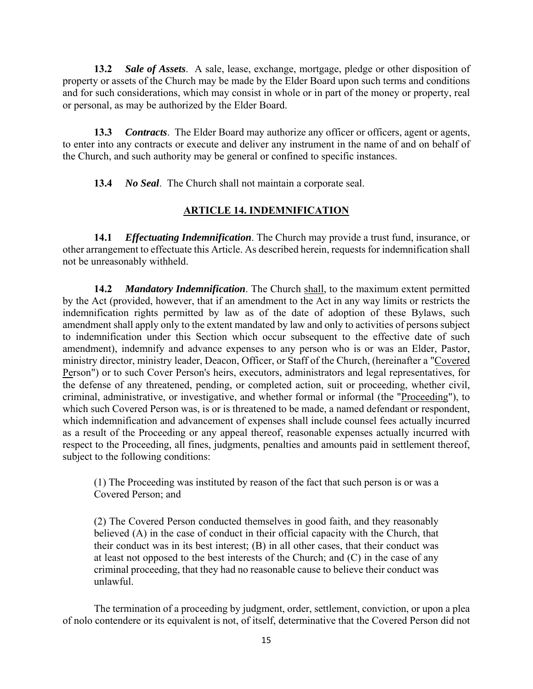**13.2** *Sale of Assets*. A sale, lease, exchange, mortgage, pledge or other disposition of property or assets of the Church may be made by the Elder Board upon such terms and conditions and for such considerations, which may consist in whole or in part of the money or property, real or personal, as may be authorized by the Elder Board.

**13.3** *Contracts*. The Elder Board may authorize any officer or officers, agent or agents, to enter into any contracts or execute and deliver any instrument in the name of and on behalf of the Church, and such authority may be general or confined to specific instances.

**13.4** *No Seal*. The Church shall not maintain a corporate seal.

#### **ARTICLE 14. INDEMNIFICATION**

**14.1** *Effectuating Indemnification*. The Church may provide a trust fund, insurance, or other arrangement to effectuate this Article. As described herein, requests for indemnification shall not be unreasonably withheld.

**14.2** *Mandatory Indemnification*. The Church shall, to the maximum extent permitted by the Act (provided, however, that if an amendment to the Act in any way limits or restricts the indemnification rights permitted by law as of the date of adoption of these Bylaws, such amendment shall apply only to the extent mandated by law and only to activities of persons subject to indemnification under this Section which occur subsequent to the effective date of such amendment), indemnify and advance expenses to any person who is or was an Elder, Pastor, ministry director, ministry leader, Deacon, Officer, or Staff of the Church, (hereinafter a "Covered Person") or to such Cover Person's heirs, executors, administrators and legal representatives, for the defense of any threatened, pending, or completed action, suit or proceeding, whether civil, criminal, administrative, or investigative, and whether formal or informal (the "Proceeding"), to which such Covered Person was, is or is threatened to be made, a named defendant or respondent, which indemnification and advancement of expenses shall include counsel fees actually incurred as a result of the Proceeding or any appeal thereof, reasonable expenses actually incurred with respect to the Proceeding, all fines, judgments, penalties and amounts paid in settlement thereof, subject to the following conditions:

(1) The Proceeding was instituted by reason of the fact that such person is or was a Covered Person; and

(2) The Covered Person conducted themselves in good faith, and they reasonably believed (A) in the case of conduct in their official capacity with the Church, that their conduct was in its best interest; (B) in all other cases, that their conduct was at least not opposed to the best interests of the Church; and (C) in the case of any criminal proceeding, that they had no reasonable cause to believe their conduct was unlawful.

The termination of a proceeding by judgment, order, settlement, conviction, or upon a plea of nolo contendere or its equivalent is not, of itself, determinative that the Covered Person did not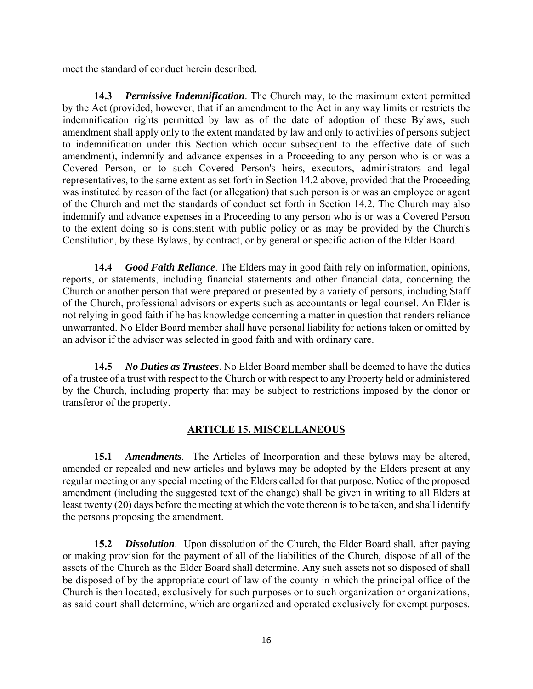meet the standard of conduct herein described.

**14.3** *Permissive Indemnification*. The Church may, to the maximum extent permitted by the Act (provided, however, that if an amendment to the Act in any way limits or restricts the indemnification rights permitted by law as of the date of adoption of these Bylaws, such amendment shall apply only to the extent mandated by law and only to activities of persons subject to indemnification under this Section which occur subsequent to the effective date of such amendment), indemnify and advance expenses in a Proceeding to any person who is or was a Covered Person, or to such Covered Person's heirs, executors, administrators and legal representatives, to the same extent as set forth in Section 14.2 above, provided that the Proceeding was instituted by reason of the fact (or allegation) that such person is or was an employee or agent of the Church and met the standards of conduct set forth in Section 14.2. The Church may also indemnify and advance expenses in a Proceeding to any person who is or was a Covered Person to the extent doing so is consistent with public policy or as may be provided by the Church's Constitution, by these Bylaws, by contract, or by general or specific action of the Elder Board.

**14.4** *Good Faith Reliance*. The Elders may in good faith rely on information, opinions, reports, or statements, including financial statements and other financial data, concerning the Church or another person that were prepared or presented by a variety of persons, including Staff of the Church, professional advisors or experts such as accountants or legal counsel. An Elder is not relying in good faith if he has knowledge concerning a matter in question that renders reliance unwarranted. No Elder Board member shall have personal liability for actions taken or omitted by an advisor if the advisor was selected in good faith and with ordinary care.

**14.5** *No Duties as Trustees*. No Elder Board member shall be deemed to have the duties of a trustee of a trust with respect to the Church or with respect to any Property held or administered by the Church, including property that may be subject to restrictions imposed by the donor or transferor of the property.

#### **ARTICLE 15. MISCELLANEOUS**

**15.1** *Amendments*. The Articles of Incorporation and these bylaws may be altered, amended or repealed and new articles and bylaws may be adopted by the Elders present at any regular meeting or any special meeting of the Elders called for that purpose. Notice of the proposed amendment (including the suggested text of the change) shall be given in writing to all Elders at least twenty (20) days before the meeting at which the vote thereon is to be taken, and shall identify the persons proposing the amendment.

**15.2** *Dissolution*. Upon dissolution of the Church, the Elder Board shall, after paying or making provision for the payment of all of the liabilities of the Church, dispose of all of the assets of the Church as the Elder Board shall determine. Any such assets not so disposed of shall be disposed of by the appropriate court of law of the county in which the principal office of the Church is then located, exclusively for such purposes or to such organization or organizations, as said court shall determine, which are organized and operated exclusively for exempt purposes.